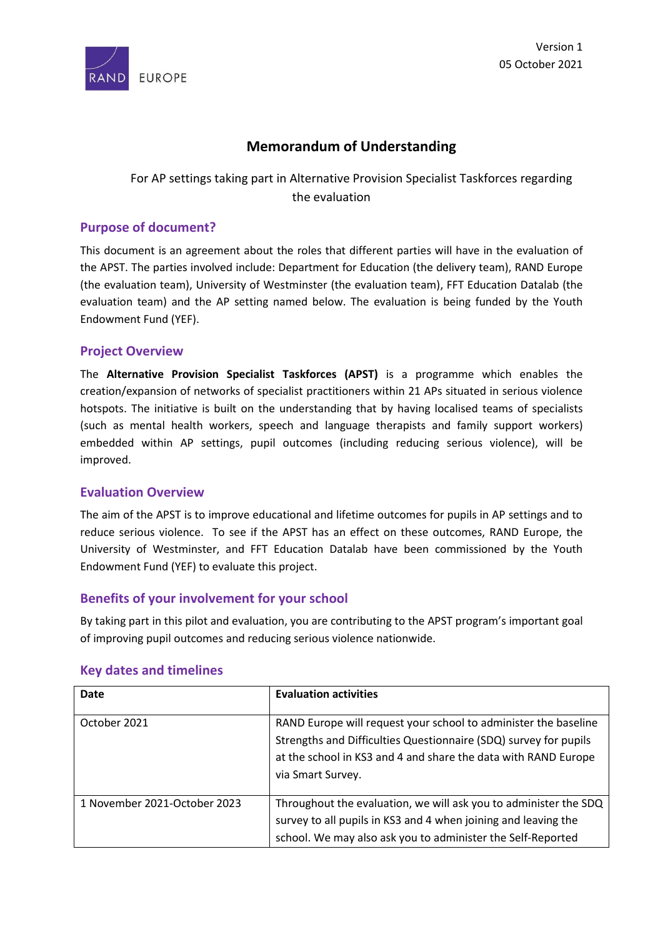

## **Memorandum of Understanding**

# For AP settings taking part in Alternative Provision Specialist Taskforces regarding the evaluation

## **Purpose of document?**

This document is an agreement about the roles that different parties will have in the evaluation of the APST. The parties involved include: Department for Education (the delivery team), RAND Europe (the evaluation team), University of Westminster (the evaluation team), FFT Education Datalab (the evaluation team) and the AP setting named below. The evaluation is being funded by the Youth Endowment Fund (YEF).

#### **Project Overview**

The **Alternative Provision Specialist Taskforces (APST)** is a programme which enables the creation/expansion of networks of specialist practitioners within 21 APs situated in serious violence hotspots. The initiative is built on the understanding that by having localised teams of specialists (such as mental health workers, speech and language therapists and family support workers) embedded within AP settings, pupil outcomes (including reducing serious violence), will be improved.

#### **Evaluation Overview**

The aim of the APST is to improve educational and lifetime outcomes for pupils in AP settings and to reduce serious violence. To see if the APST has an effect on these outcomes, RAND Europe, the University of Westminster, and FFT Education Datalab have been commissioned by the Youth Endowment Fund (YEF) to evaluate this project.

#### **Benefits of your involvement for your school**

By taking part in this pilot and evaluation, you are contributing to the APST program's important goal of improving pupil outcomes and reducing serious violence nationwide.

| Date                         | <b>Evaluation activities</b>                                                                                                                                                                                               |
|------------------------------|----------------------------------------------------------------------------------------------------------------------------------------------------------------------------------------------------------------------------|
| October 2021                 | RAND Europe will request your school to administer the baseline<br>Strengths and Difficulties Questionnaire (SDQ) survey for pupils<br>at the school in KS3 and 4 and share the data with RAND Europe<br>via Smart Survey. |
| 1 November 2021-October 2023 | Throughout the evaluation, we will ask you to administer the SDQ<br>survey to all pupils in KS3 and 4 when joining and leaving the<br>school. We may also ask you to administer the Self-Reported                          |

#### **Key dates and timelines**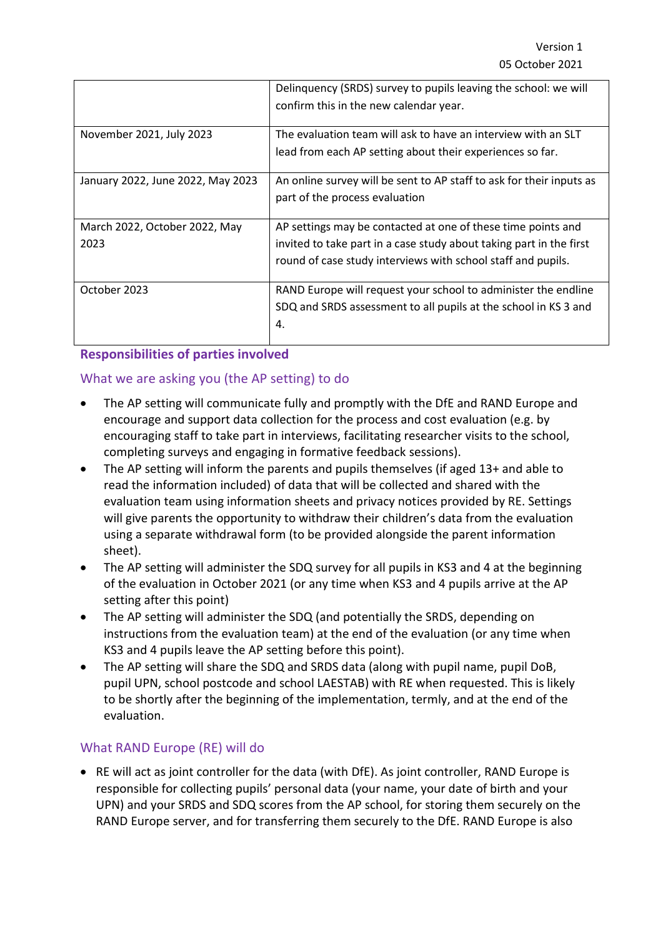|                                   | Delinquency (SRDS) survey to pupils leaving the school: we will<br>confirm this in the new calendar year.                  |
|-----------------------------------|----------------------------------------------------------------------------------------------------------------------------|
| November 2021, July 2023          | The evaluation team will ask to have an interview with an SLT<br>lead from each AP setting about their experiences so far. |
|                                   |                                                                                                                            |
| January 2022, June 2022, May 2023 | An online survey will be sent to AP staff to ask for their inputs as                                                       |
|                                   | part of the process evaluation                                                                                             |
| March 2022, October 2022, May     | AP settings may be contacted at one of these time points and                                                               |
| 2023                              | invited to take part in a case study about taking part in the first                                                        |
|                                   | round of case study interviews with school staff and pupils.                                                               |
| October 2023                      | RAND Europe will request your school to administer the endline                                                             |
|                                   | SDQ and SRDS assessment to all pupils at the school in KS 3 and                                                            |
|                                   | 4.                                                                                                                         |

## **Responsibilities of parties involved**

# What we are asking you (the AP setting) to do

- The AP setting will communicate fully and promptly with the DfE and RAND Europe and encourage and support data collection for the process and cost evaluation (e.g. by encouraging staff to take part in interviews, facilitating researcher visits to the school, completing surveys and engaging in formative feedback sessions).
- The AP setting will inform the parents and pupils themselves (if aged 13+ and able to read the information included) of data that will be collected and shared with the evaluation team using information sheets and privacy notices provided by RE. Settings will give parents the opportunity to withdraw their children's data from the evaluation using a separate withdrawal form (to be provided alongside the parent information sheet).
- The AP setting will administer the SDQ survey for all pupils in KS3 and 4 at the beginning of the evaluation in October 2021 (or any time when KS3 and 4 pupils arrive at the AP setting after this point)
- The AP setting will administer the SDQ (and potentially the SRDS, depending on instructions from the evaluation team) at the end of the evaluation (or any time when KS3 and 4 pupils leave the AP setting before this point).
- The AP setting will share the SDQ and SRDS data (along with pupil name, pupil DoB, pupil UPN, school postcode and school LAESTAB) with RE when requested. This is likely to be shortly after the beginning of the implementation, termly, and at the end of the evaluation.

## What RAND Europe (RE) will do

• RE will act as joint controller for the data (with DfE). As joint controller, RAND Europe is responsible for collecting pupils' personal data (your name, your date of birth and your UPN) and your SRDS and SDQ scores from the AP school, for storing them securely on the RAND Europe server, and for transferring them securely to the DfE. RAND Europe is also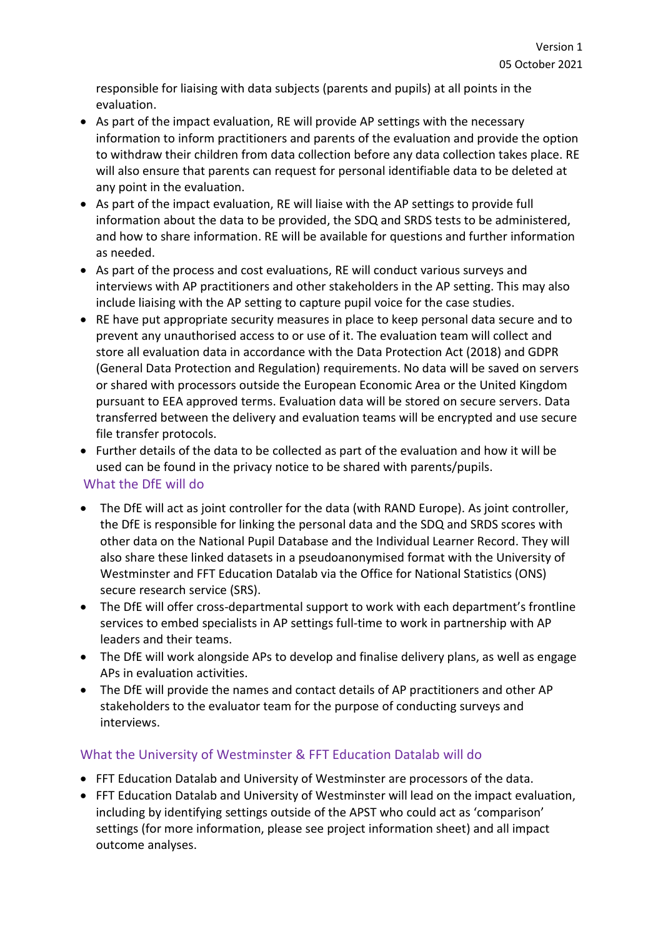responsible for liaising with data subjects (parents and pupils) at all points in the evaluation.

- As part of the impact evaluation, RE will provide AP settings with the necessary information to inform practitioners and parents of the evaluation and provide the option to withdraw their children from data collection before any data collection takes place. RE will also ensure that parents can request for personal identifiable data to be deleted at any point in the evaluation.
- As part of the impact evaluation, RE will liaise with the AP settings to provide full information about the data to be provided, the SDQ and SRDS tests to be administered, and how to share information. RE will be available for questions and further information as needed.
- As part of the process and cost evaluations, RE will conduct various surveys and interviews with AP practitioners and other stakeholders in the AP setting. This may also include liaising with the AP setting to capture pupil voice for the case studies.
- RE have put appropriate security measures in place to keep personal data secure and to prevent any unauthorised access to or use of it. The evaluation team will collect and store all evaluation data in accordance with the Data Protection Act (2018) and GDPR (General Data Protection and Regulation) requirements. No data will be saved on servers or shared with processors outside the European Economic Area or the United Kingdom pursuant to EEA approved terms. Evaluation data will be stored on secure servers. Data transferred between the delivery and evaluation teams will be encrypted and use secure file transfer protocols.
- Further details of the data to be collected as part of the evaluation and how it will be used can be found in the privacy notice to be shared with parents/pupils.

## What the DfE will do

- The DfE will act as joint controller for the data (with RAND Europe). As joint controller, the DfE is responsible for linking the personal data and the SDQ and SRDS scores with other data on the National Pupil Database and the Individual Learner Record. They will also share these linked datasets in a pseudoanonymised format with the University of Westminster and FFT Education Datalab via the Office for National Statistics (ONS) secure research service (SRS).
- The DfE will offer cross-departmental support to work with each department's frontline services to embed specialists in AP settings full-time to work in partnership with AP leaders and their teams.
- The DfE will work alongside APs to develop and finalise delivery plans, as well as engage APs in evaluation activities.
- The DfE will provide the names and contact details of AP practitioners and other AP stakeholders to the evaluator team for the purpose of conducting surveys and interviews.

## What the University of Westminster & FFT Education Datalab will do

- FFT Education Datalab and University of Westminster are processors of the data.
- FFT Education Datalab and University of Westminster will lead on the impact evaluation, including by identifying settings outside of the APST who could act as 'comparison' settings (for more information, please see project information sheet) and all impact outcome analyses.